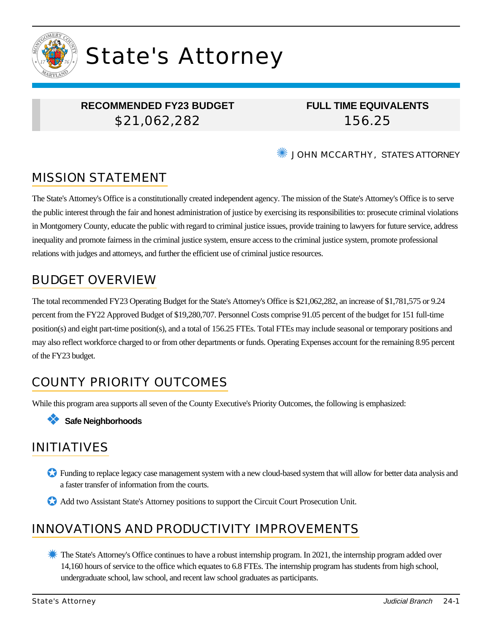

# State's Attorney

## **RECOMMENDED FY23 BUDGET** \$21,062,282

**FULL TIME EQUIVALENTS** 156.25

✺ JOHN MCCARTHY, STATE'S ATTORNEY

# MISSION STATEMENT

The State's Attorney's Office is a constitutionally created independent agency. The mission of the State's Attorney's Office is to serve the public interest through the fair and honest administration of justice by exercising its responsibilities to: prosecute criminal violations in Montgomery County, educate the public with regard to criminal justice issues, provide training to lawyers for future service, address inequality and promote fairness in the criminal justice system, ensure access to the criminal justice system, promote professional relations with judges and attorneys, and further the efficient use of criminal justice resources.

# BUDGET OVERVIEW

The total recommended FY23 Operating Budget for the State's Attorney's Office is \$21,062,282, an increase of \$1,781,575 or 9.24 percent from the FY22 Approved Budget of \$19,280,707. Personnel Costs comprise 91.05 percent of the budget for 151 full-time position(s) and eight part-time position(s), and a total of 156.25 FTEs. Total FTEs may include seasonal or temporary positions and may also reflect workforce charged to or from other departments or funds. Operating Expenses account for the remaining 8.95 percent of the FY23 budget.

# COUNTY PRIORITY OUTCOMES

While this program area supports all seven of the County Executive's Priority Outcomes, the following is emphasized:

#### ❖ **Safe Neighborhoods**

# INITIATIVES

- ✪ Funding to replace legacy case management system with a new cloud-based system that will allow for better data analysis and a faster transfer of information from the courts.
- ✪ Add two Assistant State's Attorney positions to support the Circuit Court Prosecution Unit.

# INNOVATIONS AND PRODUCTIVITY IMPROVEMENTS

✹ The State's Attorney's Office continues to have a robust internship program. In 2021, the internship program added over 14,160 hours of service to the office which equates to 6.8 FTEs. The internship program has students from high school, undergraduate school, law school, and recent law school graduates as participants.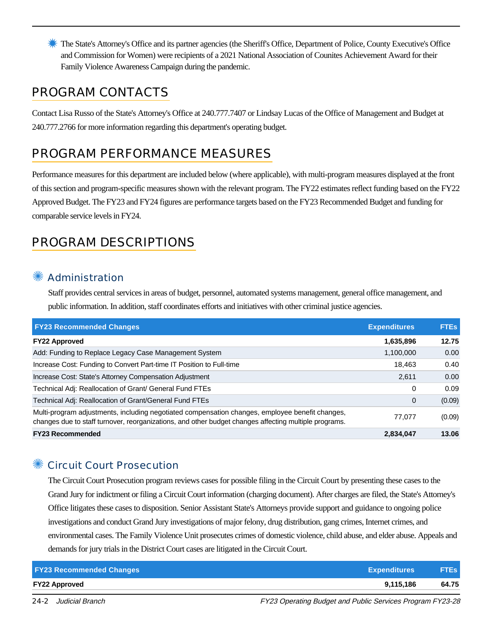✹ The State's Attorney's Office and its partner agencies (the Sheriff's Office, Department of Police, County Executive's Office and Commission for Women) were recipients of a 2021 National Association of Counites Achievement Award for their Family Violence Awareness Campaign during the pandemic.

## PROGRAM CONTACTS

Contact Lisa Russo of the State's Attorney's Office at 240.777.7407 or Lindsay Lucas of the Office of Management and Budget at 240.777.2766 for more information regarding this department's operating budget.

# PROGRAM PERFORMANCE MEASURES

Performance measures for this department are included below (where applicable), with multi-program measures displayed at the front of this section and program-specific measures shown with the relevant program. The FY22 estimates reflect funding based on the FY22 Approved Budget. The FY23 and FY24 figures are performance targets based on the FY23 Recommended Budget and funding for comparable service levels in FY24.

# PROGRAM DESCRIPTIONS

## **Administration**

Staff provides central services in areas of budget, personnel, automated systems management, general office management, and public information. In addition, staff coordinates efforts and initiatives with other criminal justice agencies.

| <b>FY23 Recommended Changes</b>                                                                                                                                                                          | <b>Expenditures</b> | <b>FTEs</b> |
|----------------------------------------------------------------------------------------------------------------------------------------------------------------------------------------------------------|---------------------|-------------|
| <b>FY22 Approved</b>                                                                                                                                                                                     | 1,635,896           | 12.75       |
| Add: Funding to Replace Legacy Case Management System                                                                                                                                                    | 1,100,000           | 0.00        |
| Increase Cost: Funding to Convert Part-time IT Position to Full-time                                                                                                                                     | 18.463              | 0.40        |
| Increase Cost: State's Attorney Compensation Adjustment                                                                                                                                                  | 2.611               | 0.00        |
| Technical Adj: Reallocation of Grant/ General Fund FTEs                                                                                                                                                  | 0                   | 0.09        |
| Technical Adj: Reallocation of Grant/General Fund FTEs                                                                                                                                                   | $\mathbf 0$         | (0.09)      |
| Multi-program adjustments, including negotiated compensation changes, employee benefit changes,<br>changes due to staff turnover, reorganizations, and other budget changes affecting multiple programs. | 77.077              | (0.09)      |
| <b>FY23 Recommended</b>                                                                                                                                                                                  | 2,834,047           | 13.06       |

## ✺ Circuit Court Prosecution

The Circuit Court Prosecution program reviews cases for possible filing in the Circuit Court by presenting these cases to the Grand Jury for indictment or filing a Circuit Court information (charging document). After charges are filed, the State's Attorney's Office litigates these cases to disposition. Senior Assistant State's Attorneys provide support and guidance to ongoing police investigations and conduct Grand Jury investigations of major felony, drug distribution, gang crimes, Internet crimes, and environmental cases. The Family Violence Unit prosecutes crimes of domestic violence, child abuse, and elder abuse. Appeals and demands for jury trials in the District Court cases are litigated in the Circuit Court.

| <b>FY23 Recommended Changes</b> | <b>Expenditures</b> | <b>FTEs</b> |
|---------------------------------|---------------------|-------------|
| <b>FY22 Approved</b>            | 9.115.186           | 64.75       |

24-2 Judicial Branch FY23 Operating Budget and Public Services Program FY23-28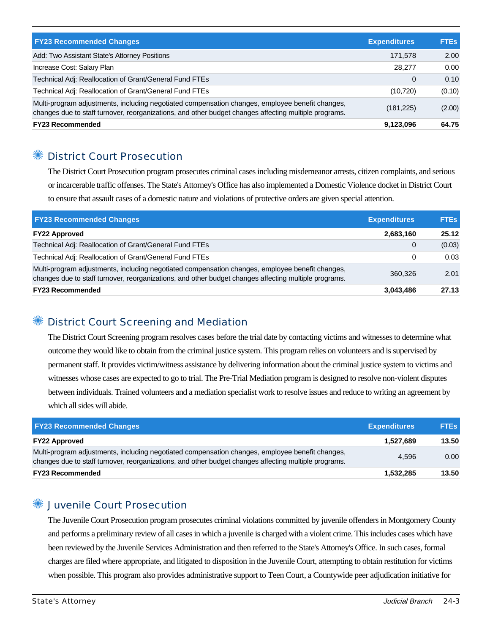| <b>FY23 Recommended Changes</b>                                                                                                                                                                          | <b>Expenditures</b> | <b>FTEs</b> |
|----------------------------------------------------------------------------------------------------------------------------------------------------------------------------------------------------------|---------------------|-------------|
| Add: Two Assistant State's Attorney Positions                                                                                                                                                            | 171,578             | 2.00        |
| Increase Cost: Salary Plan                                                                                                                                                                               | 28,277              | 0.00        |
| Technical Adj: Reallocation of Grant/General Fund FTEs                                                                                                                                                   | 0                   | 0.10        |
| Technical Adj: Reallocation of Grant/General Fund FTEs                                                                                                                                                   | (10, 720)           | (0.10)      |
| Multi-program adjustments, including negotiated compensation changes, employee benefit changes,<br>changes due to staff turnover, reorganizations, and other budget changes affecting multiple programs. | (181, 225)          | (2.00)      |
| <b>FY23 Recommended</b>                                                                                                                                                                                  | 9,123,096           | 64.75       |

#### ✺ District Court Prosecution

The District Court Prosecution program prosecutes criminal cases including misdemeanor arrests, citizen complaints, and serious or incarcerable traffic offenses. The State's Attorney's Office has also implemented a Domestic Violence docket in District Court to ensure that assault cases of a domestic nature and violations of protective orders are given special attention.

| <b>FY23 Recommended Changes</b>                                                                                                                                                                          | <b>Expenditures</b> | <b>FTEs</b> |
|----------------------------------------------------------------------------------------------------------------------------------------------------------------------------------------------------------|---------------------|-------------|
| <b>FY22 Approved</b>                                                                                                                                                                                     | 2,683,160           | 25.12       |
| Technical Adj: Reallocation of Grant/General Fund FTEs                                                                                                                                                   | 0                   | (0.03)      |
| Technical Adj: Reallocation of Grant/General Fund FTEs                                                                                                                                                   | 0                   | 0.03        |
| Multi-program adjustments, including negotiated compensation changes, employee benefit changes,<br>changes due to staff turnover, reorganizations, and other budget changes affecting multiple programs. | 360.326             | 2.01        |
| <b>FY23 Recommended</b>                                                                                                                                                                                  | 3,043,486           | 27.13       |

## ✺ District Court Screening and Mediation

The District Court Screening program resolves cases before the trial date by contacting victims and witnesses to determine what outcome they would like to obtain from the criminal justice system. This program relies on volunteers and is supervised by permanent staff. It provides victim/witness assistance by delivering information about the criminal justice system to victims and witnesses whose cases are expected to go to trial. The Pre-Trial Mediation program is designed to resolve non-violent disputes between individuals. Trained volunteers and a mediation specialist work to resolve issues and reduce to writing an agreement by which all sides will abide.

| <b>FY23 Recommended Changes</b>                                                                                                                                                                          | <b>Expenditures</b> | <b>FTEs</b> |
|----------------------------------------------------------------------------------------------------------------------------------------------------------------------------------------------------------|---------------------|-------------|
| <b>FY22 Approved</b>                                                                                                                                                                                     | 1.527.689           | 13.50       |
| Multi-program adjustments, including negotiated compensation changes, employee benefit changes,<br>changes due to staff turnover, reorganizations, and other budget changes affecting multiple programs. | 4.596               | 0.00        |
| <b>FY23 Recommended</b>                                                                                                                                                                                  | 1,532,285           | 13.50       |

## ✺ Juvenile Court Prosecution

The Juvenile Court Prosecution program prosecutes criminal violations committed by juvenile offenders in Montgomery County and performs a preliminary review of all cases in which a juvenile is charged with a violent crime. This includes cases which have been reviewed by the Juvenile Services Administration and then referred to the State's Attorney's Office. In such cases, formal charges are filed where appropriate, and litigated to disposition in the Juvenile Court, attempting to obtain restitution for victims when possible. This program also provides administrative support to Teen Court, a Countywide peer adjudication initiative for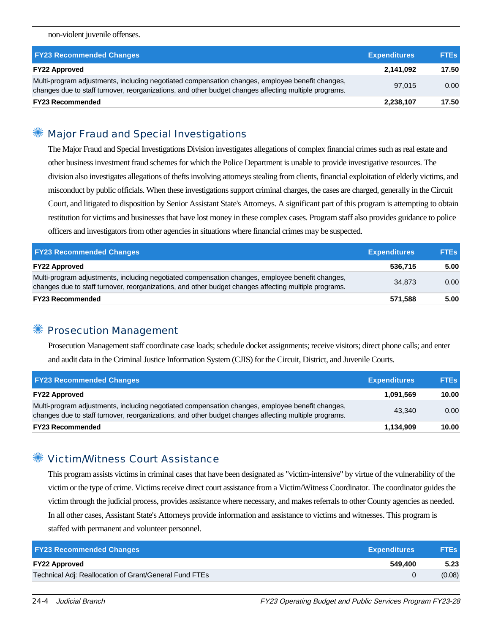#### non-violent juvenile offenses.

| <b>FY23 Recommended Changes</b>                                                                                                                                                                          | <b>Expenditures</b> | <b>FTEs</b> |
|----------------------------------------------------------------------------------------------------------------------------------------------------------------------------------------------------------|---------------------|-------------|
| <b>FY22 Approved</b>                                                                                                                                                                                     | 2,141,092           | 17.50       |
| Multi-program adjustments, including negotiated compensation changes, employee benefit changes,<br>changes due to staff turnover, reorganizations, and other budget changes affecting multiple programs. | 97.015              | 0.00        |
| <b>FY23 Recommended</b>                                                                                                                                                                                  | 2,238,107           | 17.50       |

## ✺ Major Fraud and Special Investigations

The Major Fraud and Special Investigations Division investigates allegations of complex financial crimes such as real estate and other business investment fraud schemes for which the Police Department is unable to provide investigative resources. The division also investigates allegations of thefts involving attorneys stealing from clients, financial exploitation of elderly victims, and misconduct by public officials. When these investigations support criminal charges, the cases are charged, generally in the Circuit Court, and litigated to disposition by Senior Assistant State's Attorneys. A significant part of this program is attempting to obtain restitution for victims and businesses that have lost money in these complex cases. Program staff also provides guidance to police officers and investigators from other agencies in situations where financial crimes may be suspected.

| <b>FY23 Recommended Changes</b>                                                                                                                                                                          | <b>Expenditures</b> | <b>FTEs</b> |
|----------------------------------------------------------------------------------------------------------------------------------------------------------------------------------------------------------|---------------------|-------------|
| <b>FY22 Approved</b>                                                                                                                                                                                     | 536.715             | 5.00        |
| Multi-program adjustments, including negotiated compensation changes, employee benefit changes,<br>changes due to staff turnover, reorganizations, and other budget changes affecting multiple programs. | 34.873              | 0.00        |
| <b>FY23 Recommended</b>                                                                                                                                                                                  | 571.588             | 5.00        |

#### **Prosecution Management**

Prosecution Management staff coordinate case loads; schedule docket assignments; receive visitors; direct phone calls; and enter and audit data in the Criminal Justice Information System (CJIS) for the Circuit, District, and Juvenile Courts.

| <b>FY23 Recommended Changes</b>                                                                                                                                                                          | <b>Expenditures</b> | <b>FTEs</b> |
|----------------------------------------------------------------------------------------------------------------------------------------------------------------------------------------------------------|---------------------|-------------|
| <b>FY22 Approved</b>                                                                                                                                                                                     | 1.091.569           | 10.00       |
| Multi-program adjustments, including negotiated compensation changes, employee benefit changes,<br>changes due to staff turnover, reorganizations, and other budget changes affecting multiple programs. | 43.340              | 0.00        |
| <b>FY23 Recommended</b>                                                                                                                                                                                  | 1,134,909           | 10.00       |

#### ✺ Victim/Witness Court Assistance

This program assists victims in criminal cases that have been designated as "victim-intensive" by virtue of the vulnerability of the victim or the type of crime. Victims receive direct court assistance from a Victim/Witness Coordinator. The coordinator guides the victim through the judicial process, provides assistance where necessary, and makes referrals to other County agencies as needed. In all other cases, Assistant State's Attorneys provide information and assistance to victims and witnesses. This program is staffed with permanent and volunteer personnel.

| <b>FY23 Recommended Changes</b><br><b>Expenditures</b> | <b>FTEs</b> |
|--------------------------------------------------------|-------------|
| 549.400<br><b>FY22 Approved</b>                        | 5.23        |
| Technical Adj: Reallocation of Grant/General Fund FTEs | (0.08)      |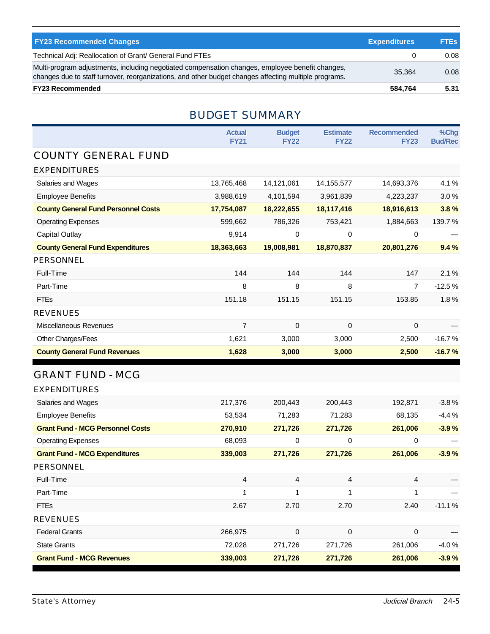| <b>FY23 Recommended Changes</b>                                                                                                                                                                          | <b>Expenditures</b> | FTEs. |
|----------------------------------------------------------------------------------------------------------------------------------------------------------------------------------------------------------|---------------------|-------|
| Technical Adj: Reallocation of Grant/ General Fund FTEs                                                                                                                                                  |                     | 0.08  |
| Multi-program adjustments, including negotiated compensation changes, employee benefit changes,<br>changes due to staff turnover, reorganizations, and other budget changes affecting multiple programs. | 35.364              | 0.08  |
| <b>FY23 Recommended</b>                                                                                                                                                                                  | 584,764             | 5.31  |

## BUDGET SUMMARY

|                                            | <b>Actual</b><br><b>FY21</b> | <b>Budget</b><br><b>FY22</b> | <b>Estimate</b><br><b>FY22</b> | <b>Recommended</b><br><b>FY23</b> | %Chg<br><b>Bud/Rec</b> |
|--------------------------------------------|------------------------------|------------------------------|--------------------------------|-----------------------------------|------------------------|
| <b>COUNTY GENERAL FUND</b>                 |                              |                              |                                |                                   |                        |
| <b>EXPENDITURES</b>                        |                              |                              |                                |                                   |                        |
| Salaries and Wages                         | 13,765,468                   | 14,121,061                   | 14, 155, 577                   | 14,693,376                        | 4.1%                   |
| <b>Employee Benefits</b>                   | 3,988,619                    | 4,101,594                    | 3,961,839                      | 4,223,237                         | 3.0%                   |
| <b>County General Fund Personnel Costs</b> | 17,754,087                   | 18,222,655                   | 18,117,416                     | 18,916,613                        | 3.8%                   |
| <b>Operating Expenses</b>                  | 599,662                      | 786,326                      | 753,421                        | 1,884,663                         | 139.7%                 |
| <b>Capital Outlay</b>                      | 9,914                        | $\mathbf 0$                  | $\mathbf 0$                    | 0                                 |                        |
| <b>County General Fund Expenditures</b>    | 18,363,663                   | 19,008,981                   | 18,870,837                     | 20,801,276                        | 9.4%                   |
| <b>PERSONNEL</b>                           |                              |                              |                                |                                   |                        |
| Full-Time                                  | 144                          | 144                          | 144                            | 147                               | 2.1%                   |
| Part-Time                                  | 8                            | 8                            | 8                              | $\overline{7}$                    | $-12.5%$               |
| <b>FTEs</b>                                | 151.18                       | 151.15                       | 151.15                         | 153.85                            | 1.8%                   |
| <b>REVENUES</b>                            |                              |                              |                                |                                   |                        |
| <b>Miscellaneous Revenues</b>              | $\overline{7}$               | $\mathbf 0$                  | $\pmb{0}$                      | 0                                 |                        |
| Other Charges/Fees                         | 1,621                        | 3,000                        | 3,000                          | 2,500                             | $-16.7%$               |
| <b>County General Fund Revenues</b>        | 1,628                        | 3,000                        | 3,000                          | 2,500                             | $-16.7%$               |
| <b>GRANT FUND - MCG</b>                    |                              |                              |                                |                                   |                        |
| <b>EXPENDITURES</b>                        |                              |                              |                                |                                   |                        |
| Salaries and Wages                         | 217,376                      | 200,443                      | 200,443                        | 192,871                           | $-3.8%$                |
| <b>Employee Benefits</b>                   | 53,534                       | 71,283                       | 71,283                         | 68,135                            | $-4.4%$                |
| <b>Grant Fund - MCG Personnel Costs</b>    | 270,910                      | 271,726                      | 271,726                        | 261,006                           | $-3.9%$                |
| <b>Operating Expenses</b>                  | 68,093                       | 0                            | 0                              | 0                                 |                        |
| <b>Grant Fund - MCG Expenditures</b>       | 339,003                      | 271,726                      | 271,726                        | 261,006                           | $-3.9%$                |
| <b>PERSONNEL</b>                           |                              |                              |                                |                                   |                        |
| Full-Time                                  | 4                            | 4                            | 4                              | 4                                 |                        |
| Part-Time                                  | $\mathbf{1}$                 | $\mathbf{1}$                 | 1                              | 1                                 |                        |
| <b>FTEs</b>                                | 2.67                         | 2.70                         | 2.70                           | 2.40                              | $-11.1%$               |
| <b>REVENUES</b>                            |                              |                              |                                |                                   |                        |
| <b>Federal Grants</b>                      | 266,975                      | $\mbox{O}$                   | $\pmb{0}$                      | 0                                 |                        |
| <b>State Grants</b>                        | 72,028                       | 271,726                      | 271,726                        | 261,006                           | $-4.0%$                |
|                                            |                              |                              |                                |                                   |                        |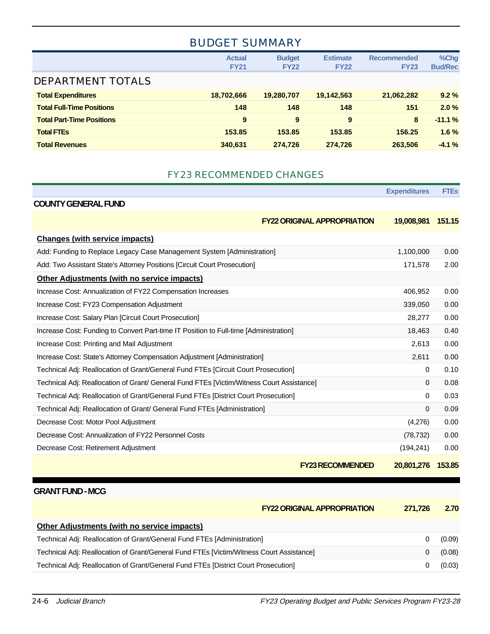## BUDGET SUMMARY

|                                  | <b>Actual</b><br><b>FY21</b> | <b>Budget</b><br><b>FY22</b> | <b>Estimate</b><br><b>FY22</b> | <b>Recommended</b><br><b>FY23</b> | %Chg<br><b>Bud/Rec</b> |
|----------------------------------|------------------------------|------------------------------|--------------------------------|-----------------------------------|------------------------|
| <b>DEPARTMENT TOTALS</b>         |                              |                              |                                |                                   |                        |
| <b>Total Expenditures</b>        | 18,702,666                   | 19,280,707                   | 19,142,563                     | 21,062,282                        | 9.2%                   |
| <b>Total Full-Time Positions</b> | 148                          | 148                          | 148                            | 151                               | 2.0%                   |
| <b>Total Part-Time Positions</b> | 9                            | 9                            | 9                              | 8                                 | $-11.1%$               |
| <b>Total FTEs</b>                | 153.85                       | 153.85                       | 153.85                         | 156.25                            | 1.6%                   |
| <b>Total Revenues</b>            | 340.631                      | 274.726                      | 274.726                        | 263,506                           | $-4.1%$                |

#### FY23 RECOMMENDED CHANGES

|                                                                                           | <b>Expenditures</b> | <b>FTEs</b> |
|-------------------------------------------------------------------------------------------|---------------------|-------------|
| <b>COUNTY GENERAL FUND</b>                                                                |                     |             |
| <b>FY22 ORIGINAL APPROPRIATION</b>                                                        | 19,008,981          | 151.15      |
| <b>Changes (with service impacts)</b>                                                     |                     |             |
| Add: Funding to Replace Legacy Case Management System [Administration]                    | 1,100,000           | 0.00        |
| Add: Two Assistant State's Attorney Positions [Circuit Court Prosecution]                 | 171,578             | 2.00        |
| <b>Other Adjustments (with no service impacts)</b>                                        |                     |             |
| Increase Cost: Annualization of FY22 Compensation Increases                               | 406,952             | 0.00        |
| Increase Cost: FY23 Compensation Adjustment                                               | 339,050             | 0.00        |
| Increase Cost: Salary Plan [Circuit Court Prosecution]                                    | 28,277              | 0.00        |
| Increase Cost: Funding to Convert Part-time IT Position to Full-time [Administration]     | 18,463              | 0.40        |
| Increase Cost: Printing and Mail Adjustment                                               | 2,613               | 0.00        |
| Increase Cost: State's Attorney Compensation Adjustment [Administration]                  | 2,611               | 0.00        |
| Technical Adj: Reallocation of Grant/General Fund FTEs [Circuit Court Prosecution]        | 0                   | 0.10        |
| Technical Adj: Reallocation of Grant/ General Fund FTEs [Victim/Witness Court Assistance] | $\Omega$            | 0.08        |
| Technical Adj: Reallocation of Grant/General Fund FTEs [District Court Prosecution]       | 0                   | 0.03        |
| Technical Adj: Reallocation of Grant/ General Fund FTEs [Administration]                  | $\Omega$            | 0.09        |
| Decrease Cost: Motor Pool Adjustment                                                      | (4,276)             | 0.00        |
| Decrease Cost: Annualization of FY22 Personnel Costs                                      | (78, 732)           | 0.00        |
| Decrease Cost: Retirement Adjustment                                                      | (194, 241)          | 0.00        |
| <b>FY23 RECOMMENDED</b>                                                                   | 20,801,276          | 153.85      |

#### **GRANT FUND - MCG**

| <b>FY22 ORIGINAL APPROPRIATION</b>                                                       | 271.726 | 2.70   |
|------------------------------------------------------------------------------------------|---------|--------|
| Other Adjustments (with no service impacts)                                              |         |        |
| Technical Adj: Reallocation of Grant/General Fund FTEs [Administration]                  |         | (0.09) |
| Technical Adj: Reallocation of Grant/General Fund FTEs [Victim/Witness Court Assistance] |         | (0.08) |
| Technical Adj: Reallocation of Grant/General Fund FTEs [District Court Prosecution]      |         | (0.03) |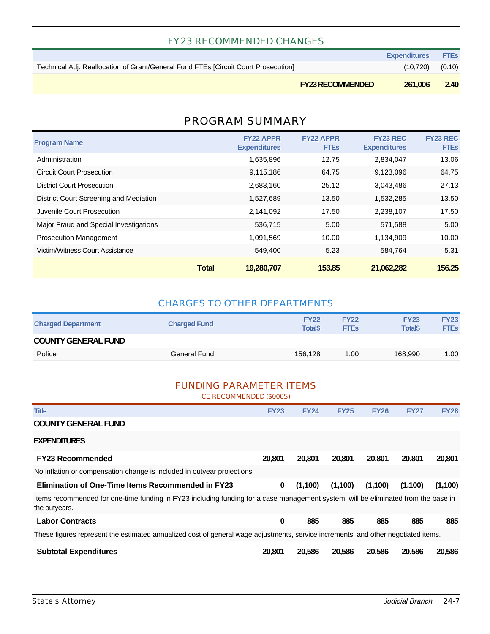#### FY23 RECOMMENDED CHANGES

|                                                                                    | <b>Expenditures FTEs</b> |  |
|------------------------------------------------------------------------------------|--------------------------|--|
| Technical Adj: Reallocation of Grant/General Fund FTEs [Circuit Court Prosecution] | $(10,720)$ $(0.10)$      |  |

**FY23 RECOMMENDED 261,006 2.40**

## PROGRAM SUMMARY

| <b>Program Name</b>                    | <b>FY22 APPR</b><br><b>Expenditures</b> | <b>FY22 APPR</b><br><b>FTEs</b> | <b>FY23 REC</b><br><b>Expenditures</b> | <b>FY23 REC</b><br><b>FTEs</b> |
|----------------------------------------|-----------------------------------------|---------------------------------|----------------------------------------|--------------------------------|
| Administration                         | 1,635,896                               | 12.75                           | 2,834,047                              | 13.06                          |
| <b>Circuit Court Prosecution</b>       | 9,115,186                               | 64.75                           | 9,123,096                              | 64.75                          |
| <b>District Court Prosecution</b>      | 2,683,160                               | 25.12                           | 3,043,486                              | 27.13                          |
| District Court Screening and Mediation | 1,527,689                               | 13.50                           | 1,532,285                              | 13.50                          |
| Juvenile Court Prosecution             | 2,141,092                               | 17.50                           | 2,238,107                              | 17.50                          |
| Major Fraud and Special Investigations | 536,715                                 | 5.00                            | 571,588                                | 5.00                           |
| <b>Prosecution Management</b>          | 1.091.569                               | 10.00                           | 1,134,909                              | 10.00                          |
| Victim/Witness Court Assistance        | 549.400                                 | 5.23                            | 584.764                                | 5.31                           |
|                                        | <b>Total</b><br>19,280,707              | 153.85                          | 21,062,282                             | 156.25                         |

#### CHARGES TO OTHER DEPARTMENTS

| <b>Charged Department</b>  | <b>Charged Fund</b> | <b>FY22</b><br><b>Total</b> \$ | <b>FY22</b><br><b>FTEs</b> | <b>FY23</b><br><b>Total\$</b> | <b>FY23</b><br><b>FTEs</b> |
|----------------------------|---------------------|--------------------------------|----------------------------|-------------------------------|----------------------------|
| <b>COUNTY GENERAL FUND</b> |                     |                                |                            |                               |                            |
| Police                     | General Fund        | 156.128                        | 1.00                       | 168.990                       | 1.00                       |

#### FUNDING PARAMETER ITEMS

CE RECOMMENDED (\$000S)

| <b>Title</b>                                                                                                                                        | <b>FY23</b> | <b>FY24</b> | <b>FY25</b> | <b>FY26</b> | <b>FY27</b> | <b>FY28</b> |
|-----------------------------------------------------------------------------------------------------------------------------------------------------|-------------|-------------|-------------|-------------|-------------|-------------|
| <b>COUNTY GENERAL FUND</b>                                                                                                                          |             |             |             |             |             |             |
| <b>EXPENDITURES</b>                                                                                                                                 |             |             |             |             |             |             |
| <b>FY23 Recommended</b>                                                                                                                             | 20,801      | 20,801      | 20,801      | 20,801      | 20,801      | 20,801      |
| No inflation or compensation change is included in outyear projections.                                                                             |             |             |             |             |             |             |
| <b>Elimination of One-Time Items Recommended in FY23</b>                                                                                            | 0           | (1,100)     | (1,100)     | (1,100)     | (1,100)     | (1,100)     |
| Items recommended for one-time funding in FY23 including funding for a case management system, will be eliminated from the base in<br>the outyears. |             |             |             |             |             |             |
| <b>Labor Contracts</b>                                                                                                                              | 0           | 885         | 885         | 885         | 885         | 885         |
| These figures represent the estimated annualized cost of general wage adjustments, service increments, and other negotiated items.                  |             |             |             |             |             |             |
| <b>Subtotal Expenditures</b>                                                                                                                        | 20,801      | 20,586      | 20,586      | 20,586      | 20,586      | 20,586      |